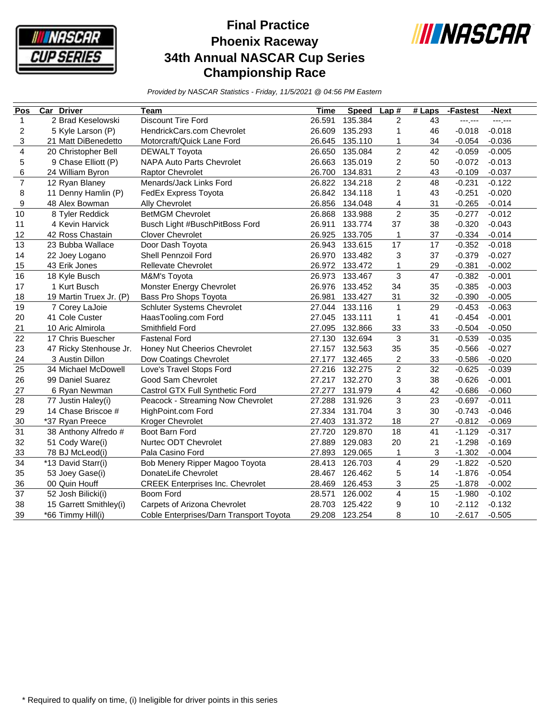

## **Final Practice Phoenix Raceway 34th Annual NASCAR Cup Series Championship Race**



*Provided by NASCAR Statistics - Friday, 11/5/2021 @ 04:56 PM Eastern*

| Pos                     | <b>Car Driver</b>       | Team                                    | Time   | <b>Speed</b> | Lap#                      | $#$ Laps | -Fastest | -Next    |
|-------------------------|-------------------------|-----------------------------------------|--------|--------------|---------------------------|----------|----------|----------|
| 1                       | 2 Brad Keselowski       | Discount Tire Ford                      | 26.591 | 135.384      | $\overline{c}$            | 43       | --- 1--- | ---.---  |
| $\overline{\mathbf{c}}$ | 5 Kyle Larson (P)       | HendrickCars.com Chevrolet              | 26.609 | 135.293      | $\mathbf{1}$              | 46       | $-0.018$ | $-0.018$ |
| 3                       | 21 Matt DiBenedetto     | Motorcraft/Quick Lane Ford              | 26.645 | 135.110      | 1                         | 34       | $-0.054$ | $-0.036$ |
| $\overline{\mathbf{4}}$ | 20 Christopher Bell     | <b>DEWALT Toyota</b>                    | 26.650 | 135.084      | $\overline{2}$            | 42       | $-0.059$ | $-0.005$ |
| 5                       | 9 Chase Elliott (P)     | NAPA Auto Parts Chevrolet               | 26.663 | 135.019      | $\overline{c}$            | 50       | $-0.072$ | $-0.013$ |
| 6                       | 24 William Byron        | <b>Raptor Chevrolet</b>                 | 26.700 | 134.831      | $\overline{c}$            | 43       | $-0.109$ | $-0.037$ |
| $\overline{7}$          | 12 Ryan Blaney          | Menards/Jack Links Ford                 | 26.822 | 134.218      | $\overline{c}$            | 48       | $-0.231$ | $-0.122$ |
| 8                       | 11 Denny Hamlin (P)     | FedEx Express Toyota                    | 26.842 | 134.118      | $\mathbf{1}$              | 43       | $-0.251$ | $-0.020$ |
| 9                       | 48 Alex Bowman          | Ally Chevrolet                          | 26.856 | 134.048      | 4                         | 31       | $-0.265$ | $-0.014$ |
| 10                      | 8 Tyler Reddick         | <b>BetMGM Chevrolet</b>                 | 26.868 | 133.988      | $\overline{c}$            | 35       | $-0.277$ | $-0.012$ |
| 11                      | 4 Kevin Harvick         | Busch Light #BuschPitBoss Ford          | 26.911 | 133.774      | 37                        | 38       | $-0.320$ | $-0.043$ |
| 12                      | 42 Ross Chastain        | <b>Clover Chevrolet</b>                 | 26.925 | 133.705      | $\mathbf{1}$              | 37       | $-0.334$ | $-0.014$ |
| 13                      | 23 Bubba Wallace        | Door Dash Toyota                        | 26.943 | 133.615      | 17                        | 17       | $-0.352$ | $-0.018$ |
| 14                      | 22 Joey Logano          | Shell Pennzoil Ford                     | 26.970 | 133.482      | 3                         | 37       | $-0.379$ | $-0.027$ |
| 15                      | 43 Erik Jones           | Rellevate Chevrolet                     | 26.972 | 133.472      | 1                         | 29       | $-0.381$ | $-0.002$ |
| 16                      | 18 Kyle Busch           | M&M's Toyota                            | 26.973 | 133.467      | 3                         | 47       | $-0.382$ | $-0.001$ |
| 17                      | 1 Kurt Busch            | Monster Energy Chevrolet                | 26.976 | 133.452      | 34                        | 35       | $-0.385$ | $-0.003$ |
| 18                      | 19 Martin Truex Jr. (P) | Bass Pro Shops Toyota                   | 26.981 | 133.427      | 31                        | 32       | $-0.390$ | $-0.005$ |
| 19                      | 7 Corey LaJoie          | Schluter Systems Chevrolet              | 27.044 | 133.116      | 1                         | 29       | $-0.453$ | $-0.063$ |
| 20                      | 41 Cole Custer          | HaasTooling.com Ford                    | 27.045 | 133.111      | 1                         | 41       | $-0.454$ | $-0.001$ |
| 21                      | 10 Aric Almirola        | Smithfield Ford                         | 27.095 | 132.866      | 33                        | 33       | $-0.504$ | $-0.050$ |
| 22                      | 17 Chris Buescher       | <b>Fastenal Ford</b>                    | 27.130 | 132.694      | $\ensuremath{\mathsf{3}}$ | 31       | $-0.539$ | $-0.035$ |
| 23                      | 47 Ricky Stenhouse Jr.  | Honey Nut Cheerios Chevrolet            | 27.157 | 132.563      | 35                        | 35       | $-0.566$ | $-0.027$ |
| 24                      | 3 Austin Dillon         | Dow Coatings Chevrolet                  | 27.177 | 132.465      | $\overline{\mathbf{c}}$   | 33       | $-0.586$ | $-0.020$ |
| 25                      | 34 Michael McDowell     | Love's Travel Stops Ford                | 27.216 | 132.275      | $\overline{c}$            | 32       | $-0.625$ | $-0.039$ |
| 26                      | 99 Daniel Suarez        | Good Sam Chevrolet                      | 27.217 | 132.270      | 3                         | 38       | $-0.626$ | $-0.001$ |
| 27                      | 6 Ryan Newman           | Castrol GTX Full Synthetic Ford         | 27.277 | 131.979      | 4                         | 42       | $-0.686$ | $-0.060$ |
| 28                      | 77 Justin Haley(i)      | Peacock - Streaming Now Chevrolet       | 27.288 | 131.926      | 3                         | 23       | $-0.697$ | $-0.011$ |
| 29                      | 14 Chase Briscoe #      | HighPoint.com Ford                      | 27.334 | 131.704      | 3                         | 30       | $-0.743$ | $-0.046$ |
| 30                      | *37 Ryan Preece         | Kroger Chevrolet                        | 27.403 | 131.372      | 18                        | 27       | $-0.812$ | $-0.069$ |
| $\overline{31}$         | 38 Anthony Alfredo #    | Boot Barn Ford                          | 27.720 | 129.870      | 18                        | 41       | $-1.129$ | $-0.317$ |
| 32                      | 51 Cody Ware(i)         | Nurtec ODT Chevrolet                    | 27.889 | 129.083      | 20                        | 21       | $-1.298$ | $-0.169$ |
| 33                      | 78 BJ McLeod(i)         | Pala Casino Ford                        | 27.893 | 129.065      | $\mathbf{1}$              | 3        | $-1.302$ | $-0.004$ |
| 34                      | *13 David Starr(i)      | Bob Menery Ripper Magoo Toyota          | 28.413 | 126.703      | $\overline{\mathbf{4}}$   | 29       | $-1.822$ | $-0.520$ |
| 35                      | 53 Joey Gase(i)         | DonateLife Chevrolet                    | 28.467 | 126.462      | 5                         | 14       | $-1.876$ | $-0.054$ |
| 36                      | 00 Quin Houff           | <b>CREEK Enterprises Inc. Chevrolet</b> | 28.469 | 126.453      | 3                         | 25       | $-1.878$ | $-0.002$ |
| 37                      | 52 Josh Bilicki(i)      | Boom Ford                               | 28.571 | 126.002      | $\overline{\mathbf{4}}$   | 15       | $-1.980$ | $-0.102$ |
| 38                      | 15 Garrett Smithley(i)  | Carpets of Arizona Chevrolet            | 28.703 | 125.422      | 9                         | 10       | $-2.112$ | $-0.132$ |
| 39                      | *66 Timmy Hill(i)       | Coble Enterprises/Darn Transport Toyota | 29.208 | 123.254      | 8                         | 10       | $-2.617$ | $-0.505$ |